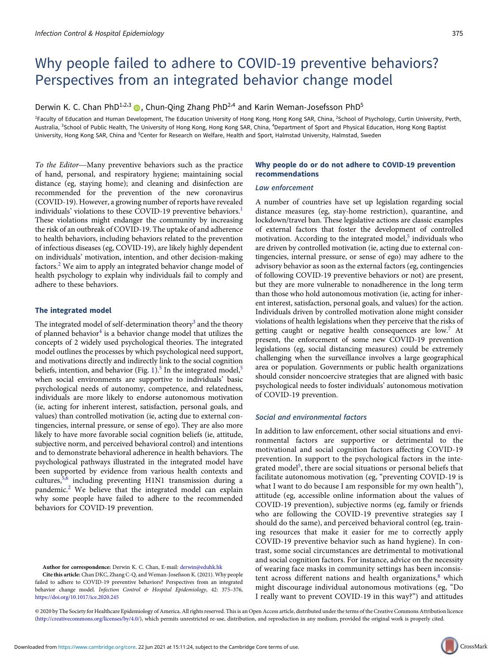# Why people failed to adhere to COVID-19 preventive behaviors? Perspectives from an integrated behavior change model

# Derwin K. C. Chan PhD<sup>1,2,3</sup>  $\bullet$ , Chun-Qing Zhang PhD<sup>2,4</sup> and Karin Weman-Josefsson PhD<sup>5</sup>

<sup>1</sup>Faculty of Education and Human Development, The Education University of Hong Kong, Hong Kong SAR, China, <sup>2</sup>School of Psychology, Curtin University, Perth, Australia, <sup>3</sup>School of Public Health, The University of Hong Kong, Hong Kong SAR, China, <sup>4</sup>Department of Sport and Physical Education, Hong Kong Baptist University, Hong Kong SAR, China and <sup>5</sup>Center for Research on Welfare, Health and Sport, Halmstad University, Halmstad, Sweden<br>To the Editor—Many preventive behaviors such as the practice **Why people do or do not adhere t** 

of hand, personal, and respiratory hygiene; maintaining social distance (eg, staying home); and cleaning and disinfection are recommended for the prevention of the new coronavirus (COVID-19). However, a growing number of reports have revealed individuals' violations to these COVID-19 preventive behaviors.<sup>1</sup> These violations might endanger the community by increasing the risk of an outbreak of COVID-19. The uptake of and adherence to health behaviors, including behaviors related to the prevention of infectious diseases (eg, COVID-19), are likely highly dependent on individuals' motivation, intention, and other decision-making factors.<sup>2</sup> We aim to apply an integrated behavior change model of health psychology to explain why individuals fail to comply and adhere to these behaviors.

#### The integrated model

The integrated model of self-determination theory<sup>3</sup> and the theory of planned behavior<sup>4</sup> is a behavior change model that utilizes the concepts of 2 widely used psychological theories. The integrated model outlines the processes by which psychological need support, and motivations directly and indirectly link to the social cognition beliefs, intention, and behavior (Fig. 1).<sup>5</sup> In the integrated model,<sup>5</sup> when social environments are supportive to individuals' basic psychological needs of autonomy, competence, and relatedness, individuals are more likely to endorse autonomous motivation (ie, acting for inherent interest, satisfaction, personal goals, and values) than controlled motivation (ie, acting due to external contingencies, internal pressure, or sense of ego). They are also more likely to have more favorable social cognition beliefs (ie, attitude, subjective norm, and perceived behavioral control) and intentions and to demonstrate behavioral adherence in health behaviors. The psychological pathways illustrated in the integrated model have been supported by evidence from various health contexts and cultures,5,6 including preventing H1N1 transmission during a pandemic.<sup>2</sup> We believe that the integrated model can explain why some people have failed to adhere to the recommended behaviors for COVID-19 prevention.

Author for correspondence: Derwin K. C. Chan, E-mail: [derwin@eduhk.hk](mailto:derwin@eduhk.hk)

Cite this article: Chan DKC, Zhang C-Q, and Weman-Josefsson K. (2021). Why people failed to adhere to COVID-19 preventive behaviors? Perspectives from an integrated behavior change model. Infection Control & Hospital Epidemiology, 42: 375-376, <https://doi.org/10.1017/ice.2020.245>

## Why people do or do not adhere to COVID-19 prevention recommendations

#### Law enforcement

A number of countries have set up legislation regarding social distance measures (eg, stay-home restriction), quarantine, and lockdown/travel ban. These legislative actions are classic examples of external factors that foster the development of controlled motivation. According to the integrated model, $5$  individuals who are driven by controlled motivation (ie, acting due to external contingencies, internal pressure, or sense of ego) may adhere to the advisory behavior as soon as the external factors (eg, contingencies of following COVID-19 preventive behaviors or not) are present, but they are more vulnerable to nonadherence in the long term than those who hold autonomous motivation (ie, acting for inherent interest, satisfaction, personal goals, and values) for the action. Individuals driven by controlled motivation alone might consider violations of health legislations when they perceive that the risks of getting caught or negative health consequences are low.<sup>7</sup> At present, the enforcement of some new COVID-19 prevention legislations (eg, social distancing measures) could be extremely challenging when the surveillance involves a large geographical area or population. Governments or public health organizations should consider noncoercive strategies that are aligned with basic psychological needs to foster individuals' autonomous motivation of COVID-19 prevention.

## Social and environmental factors

In addition to law enforcement, other social situations and environmental factors are supportive or detrimental to the motivational and social cognition factors affecting COVID-19 prevention. In support to the psychological factors in the integrated model<sup>5</sup>, there are social situations or personal beliefs that facilitate autonomous motivation (eg, "preventing COVID-19 is what I want to do because I am responsible for my own health"), attitude (eg, accessible online information about the values of COVID-19 prevention), subjective norms (eg, family or friends who are following the COVID-19 preventive strategies say I should do the same), and perceived behavioral control (eg, training resources that make it easier for me to correctly apply COVID-19 preventive behavior such as hand hygiene). In contrast, some social circumstances are detrimental to motivational and social cognition factors. For instance, advice on the necessity of wearing face masks in community settings has been inconsistent across different nations and health organizations, $8$  which might discourage individual autonomous motivations (eg, "Do I really want to prevent COVID-19 in this way?") and attitudes

© 2020 by The Society for Healthcare Epidemiology of America. All rights reserved. This is an Open Access article, distributed under the terms of the Creative Commons Attribution licence [\(http://creativecommons.org/licenses/by/4.0/](Undefined namespace prefix)), which permits unrestricted re-use, distribution, and reproduction in any medium, provided the original work is properly cited.